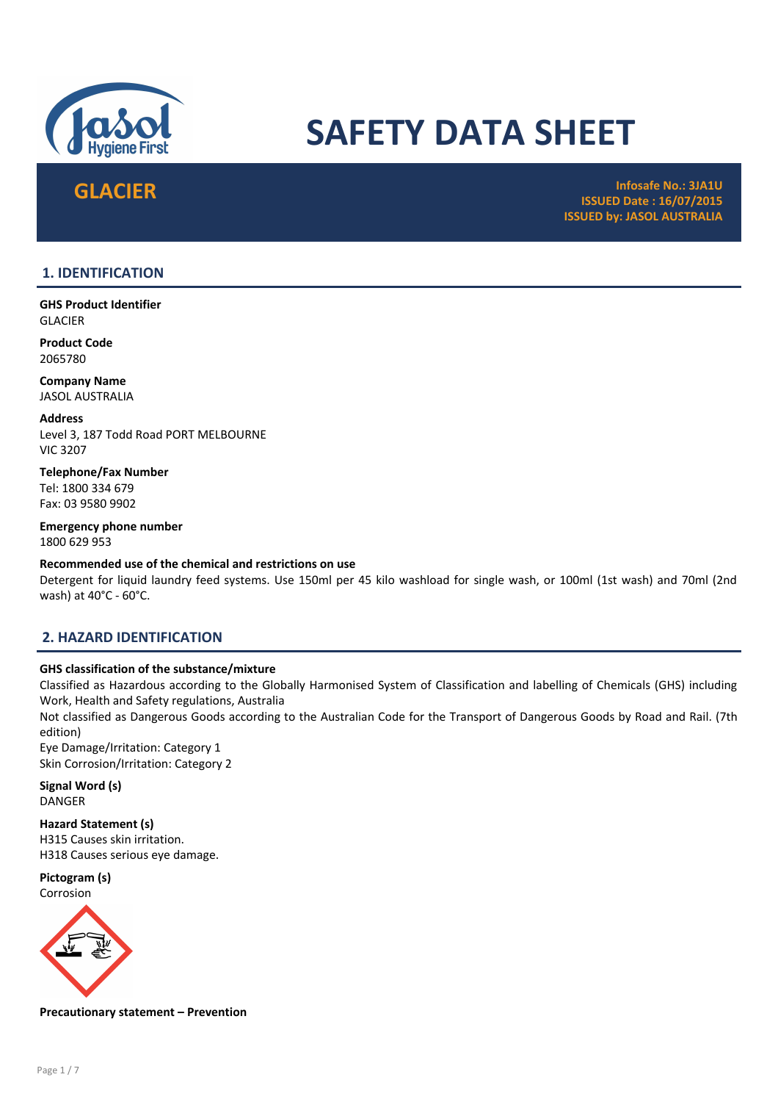

# SAFETY DATA SHEET

GLACIER استفاده است المسلم المسلم المسلم المسلم المسلم المسلم المسلم المسلم المسلم المسلم المسلم المسلم المسلم<br>Infosafe No.: 3JA1U المسلم المسلم المسلم المسلم المسلم المسلم المسلم المسلم المسلم المسلم المسلم المسلم المسلم ISSUED Date : 16/07/2015 ISSUED by: JASOL AUSTRALIA

# 1. IDENTIFICATION

GHS Product Identifier GLACIER

Product Code 2065780

Company Name JASOL AUSTRALIA

Address Level 3, 187 Todd Road PORT MELBOURNE VIC 3207

Telephone/Fax Number Tel: 1800 334 679 Fax: 03 9580 9902

Emergency phone number 1800 629 953

Recommended use of the chemical and restrictions on use

Detergent for liquid laundry feed systems. Use 150ml per 45 kilo washload for single wash, or 100ml (1st wash) and 70ml (2nd wash) at 40°C - 60°C.

# 2. HAZARD IDENTIFICATION

# GHS classification of the substance/mixture

Classified as Hazardous according to the Globally Harmonised System of Classification and labelling of Chemicals (GHS) including Work, Health and Safety regulations, Australia

Not classified as Dangerous Goods according to the Australian Code for the Transport of Dangerous Goods by Road and Rail. (7th edition)

Eye Damage/Irritation: Category 1 Skin Corrosion/Irritation: Category 2

Signal Word (s) DANGER

Hazard Statement (s) H315 Causes skin irritation.

H318 Causes serious eye damage.

Pictogram (s) Corrosion



Precautionary statement – Prevention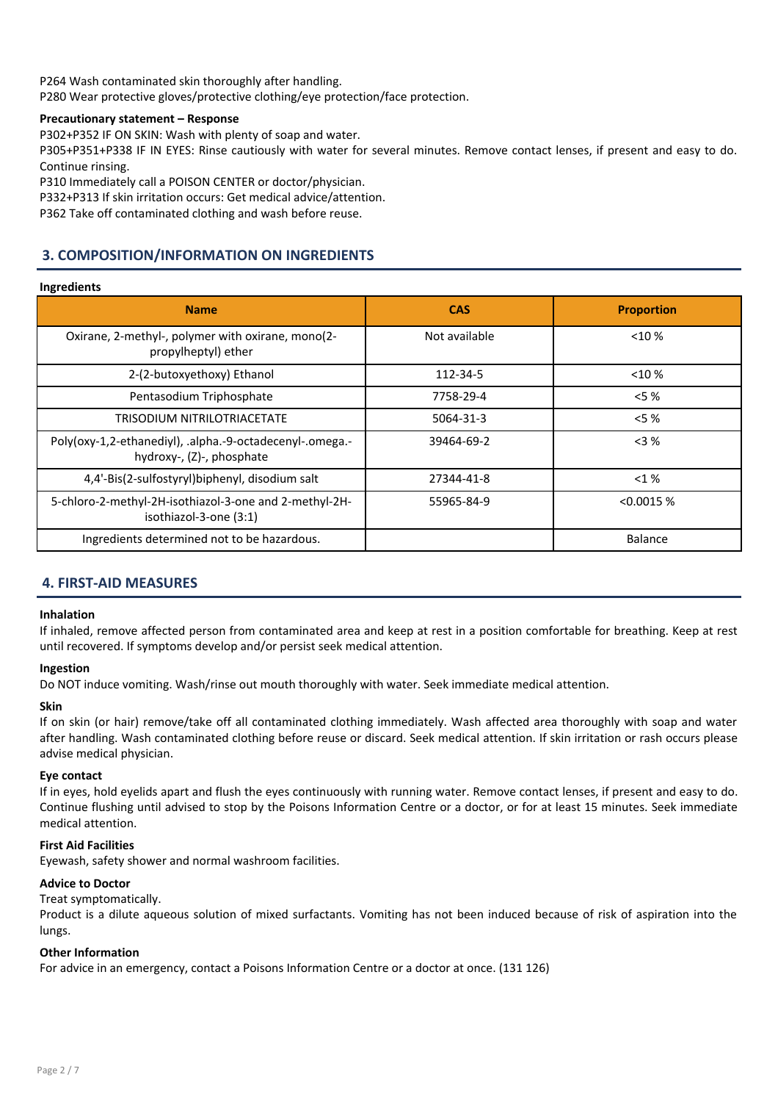P264 Wash contaminated skin thoroughly after handling. P280 Wear protective gloves/protective clothing/eye protection/face protection.

# Precautionary statement – Response

P302+P352 IF ON SKIN: Wash with plenty of soap and water.

P305+P351+P338 IF IN EYES: Rinse cautiously with water for several minutes. Remove contact lenses, if present and easy to do. Continue rinsing.

P310 Immediately call a POISON CENTER or doctor/physician.

P332+P313 If skin irritation occurs: Get medical advice/attention.

P362 Take off contaminated clothing and wash before reuse.

# 3. COMPOSITION/INFORMATION ON INGREDIENTS

# Ingredients

| <b>Name</b>                                                                           | <b>CAS</b>    | <b>Proportion</b> |
|---------------------------------------------------------------------------------------|---------------|-------------------|
| Oxirane, 2-methyl-, polymer with oxirane, mono(2-<br>propylheptyl) ether              | Not available | $< 10 \%$         |
| 2-(2-butoxyethoxy) Ethanol                                                            | 112-34-5      | $<$ 10 %          |
| Pentasodium Triphosphate                                                              | 7758-29-4     | $<$ 5 $\%$        |
| <b>TRISODIUM NITRILOTRIACETATE</b>                                                    | 5064-31-3     | $< 5 \%$          |
| Poly(oxy-1,2-ethanediyl), .alpha.-9-octadecenyl-.omega.-<br>hydroxy-, (Z)-, phosphate | 39464-69-2    | $<$ 3 %           |
| 4,4'-Bis(2-sulfostyryl)biphenyl, disodium salt                                        | 27344-41-8    | $<$ 1 %           |
| 5-chloro-2-methyl-2H-isothiazol-3-one and 2-methyl-2H-<br>isothiazol-3-one (3:1)      | 55965-84-9    | < 0.0015 %        |
| Ingredients determined not to be hazardous.                                           |               | <b>Balance</b>    |

# 4. FIRST-AID MEASURES

# Inhalation

If inhaled, remove affected person from contaminated area and keep at rest in a position comfortable for breathing. Keep at rest until recovered. If symptoms develop and/or persist seek medical attention.

# Ingestion

Do NOT induce vomiting. Wash/rinse out mouth thoroughly with water. Seek immediate medical attention.

# Skin

If on skin (or hair) remove/take off all contaminated clothing immediately. Wash affected area thoroughly with soap and water after handling. Wash contaminated clothing before reuse or discard. Seek medical attention. If skin irritation or rash occurs please advise medical physician.

# Eye contact

If in eyes, hold eyelids apart and flush the eyes continuously with running water. Remove contact lenses, if present and easy to do. Continue flushing until advised to stop by the Poisons Information Centre or a doctor, or for at least 15 minutes. Seek immediate medical attention.

# First Aid Facilities

Eyewash, safety shower and normal washroom facilities.

# Advice to Doctor

Treat symptomatically.

Product is a dilute aqueous solution of mixed surfactants. Vomiting has not been induced because of risk of aspiration into the lungs.

# Other Information

For advice in an emergency, contact a Poisons Information Centre or a doctor at once. (131 126)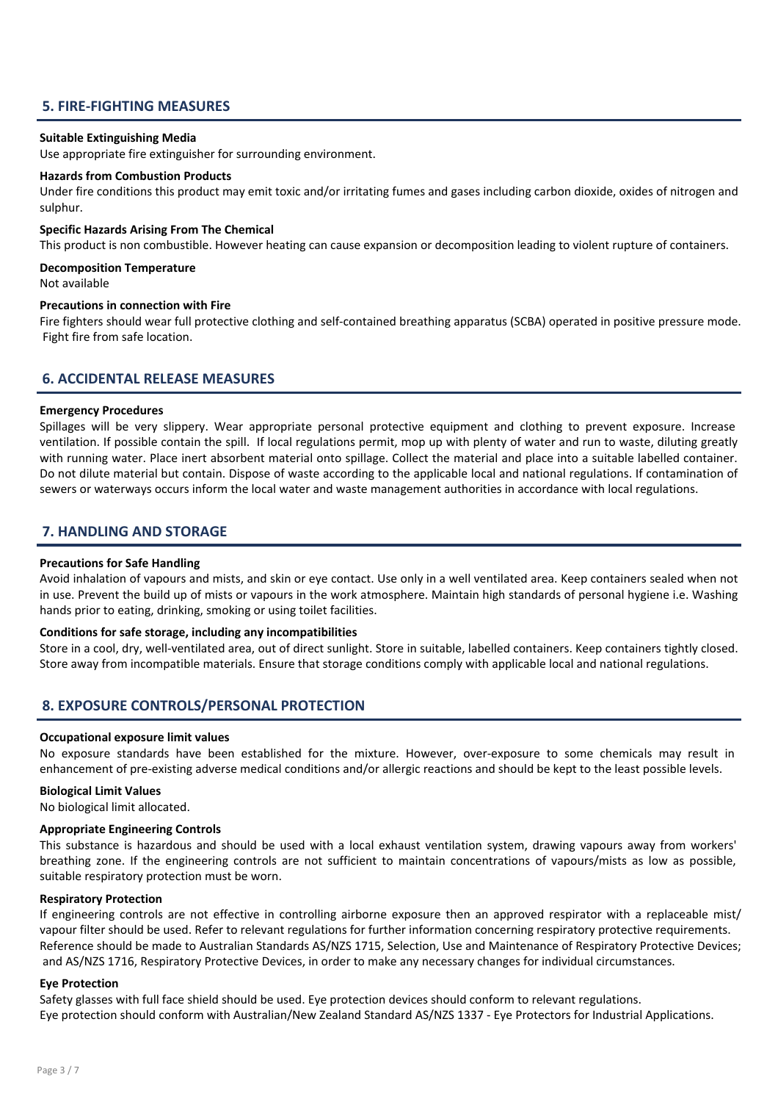# 5. FIRE-FIGHTING MEASURES

#### Suitable Extinguishing Media

Use appropriate fire extinguisher for surrounding environment.

#### Hazards from Combustion Products

Under fire conditions this product may emit toxic and/or irritating fumes and gases including carbon dioxide, oxides of nitrogen and sulphur.

# Specific Hazards Arising From The Chemical

This product is non combustible. However heating can cause expansion or decomposition leading to violent rupture of containers.

# Decomposition Temperature

Not available

#### Precautions in connection with Fire

Fire fighters should wear full protective clothing and self-contained breathing apparatus (SCBA) operated in positive pressure mode. Fight fire from safe location.

# 6. ACCIDENTAL RELEASE MEASURES

#### Emergency Procedures

Spillages will be very slippery. Wear appropriate personal protective equipment and clothing to prevent exposure. Increase ventilation. If possible contain the spill. If local regulations permit, mop up with plenty of water and run to waste, diluting greatly with running water. Place inert absorbent material onto spillage. Collect the material and place into a suitable labelled container. Do not dilute material but contain. Dispose of waste according to the applicable local and national regulations. If contamination of sewers or waterways occurs inform the local water and waste management authorities in accordance with local regulations.

# 7. HANDLING AND STORAGE

#### Precautions for Safe Handling

Avoid inhalation of vapours and mists, and skin or eye contact. Use only in a well ventilated area. Keep containers sealed when not in use. Prevent the build up of mists or vapours in the work atmosphere. Maintain high standards of personal hygiene i.e. Washing hands prior to eating, drinking, smoking or using toilet facilities.

#### Conditions for safe storage, including any incompatibilities

Store in a cool, dry, well-ventilated area, out of direct sunlight. Store in suitable, labelled containers. Keep containers tightly closed. Store away from incompatible materials. Ensure that storage conditions comply with applicable local and national regulations.

# 8. EXPOSURE CONTROLS/PERSONAL PROTECTION

#### Occupational exposure limit values

No exposure standards have been established for the mixture. However, over-exposure to some chemicals may result in enhancement of pre-existing adverse medical conditions and/or allergic reactions and should be kept to the least possible levels.

#### Biological Limit Values

No biological limit allocated.

#### Appropriate Engineering Controls

This substance is hazardous and should be used with a local exhaust ventilation system, drawing vapours away from workers' breathing zone. If the engineering controls are not sufficient to maintain concentrations of vapours/mists as low as possible, suitable respiratory protection must be worn.

#### Respiratory Protection

If engineering controls are not effective in controlling airborne exposure then an approved respirator with a replaceable mist/ vapour filter should be used. Refer to relevant regulations for further information concerning respiratory protective requirements. Reference should be made to Australian Standards AS/NZS 1715, Selection, Use and Maintenance of Respiratory Protective Devices; and AS/NZS 1716, Respiratory Protective Devices, in order to make any necessary changes for individual circumstances.

#### Eye Protection

Safety glasses with full face shield should be used. Eye protection devices should conform to relevant regulations. Eye protection should conform with Australian/New Zealand Standard AS/NZS 1337 - Eye Protectors for Industrial Applications.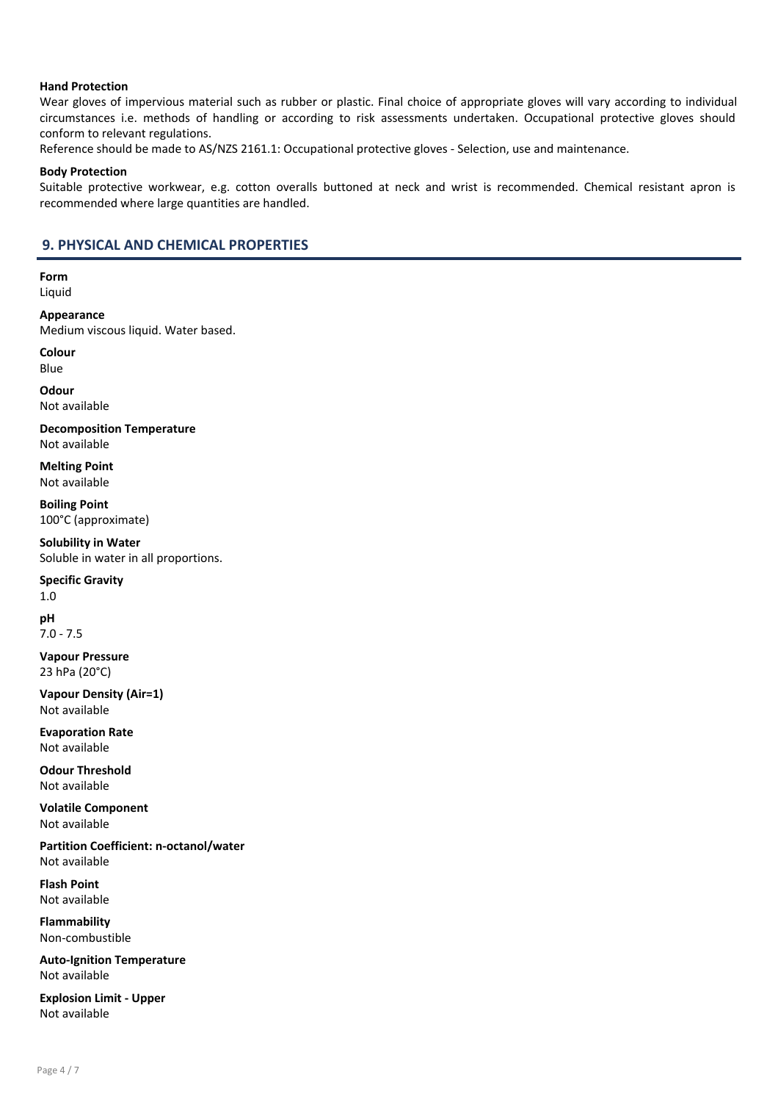# Hand Protection

Wear gloves of impervious material such as rubber or plastic. Final choice of appropriate gloves will vary according to individual circumstances i.e. methods of handling or according to risk assessments undertaken. Occupational protective gloves should conform to relevant regulations.

Reference should be made to AS/NZS 2161.1: Occupational protective gloves - Selection, use and maintenance.

#### Body Protection

Suitable protective workwear, e.g. cotton overalls buttoned at neck and wrist is recommended. Chemical resistant apron is recommended where large quantities are handled.

# 9. PHYSICAL AND CHEMICAL PROPERTIES

Form Liquid

Appearance Medium viscous liquid. Water based.

Colour

Blue

**Odour** Not available

Decomposition Temperature Not available

Melting Point Not available

Boiling Point 100°C (approximate)

Solubility in Water Soluble in water in all proportions.

# Specific Gravity

1.0 pH

7.0 - 7.5

Vapour Pressure 23 hPa (20°C)

Vapour Density (Air=1) Not available

Evaporation Rate Not available

Odour Threshold Not available

Volatile Component Not available

Partition Coefficient: n-octanol/water Not available

Flash Point Not available

Flammability Non-combustible

Auto-Ignition Temperature Not available

Explosion Limit - Upper Not available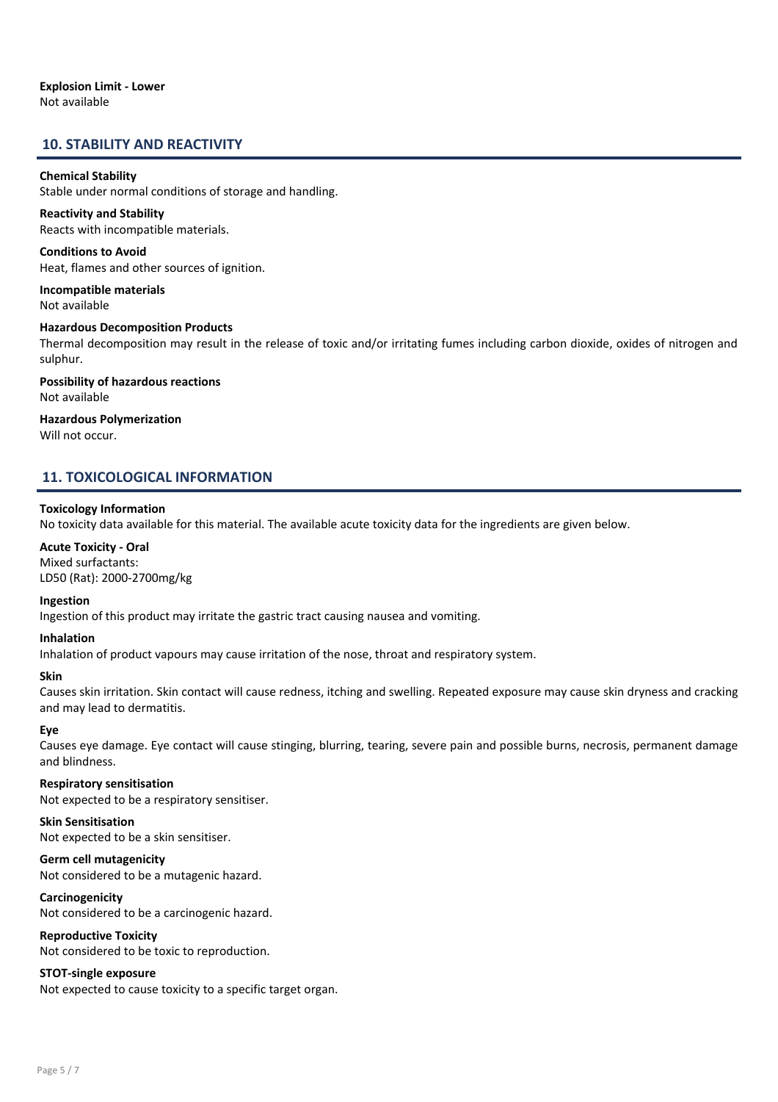# 10. STABILITY AND REACTIVITY

#### Chemical Stability

Stable under normal conditions of storage and handling.

# Reactivity and Stability

Reacts with incompatible materials.

Conditions to Avoid Heat, flames and other sources of ignition.

Incompatible materials Not available

# Hazardous Decomposition Products Thermal decomposition may result in the release of toxic and/or irritating fumes including carbon dioxide, oxides of nitrogen and sulphur.

Possibility of hazardous reactions Not available

#### Hazardous Polymerization Will not occur.

# 11. TOXICOLOGICAL INFORMATION

#### Toxicology Information

No toxicity data available for this material. The available acute toxicity data for the ingredients are given below.

Acute Toxicity - Oral Mixed surfactants: LD50 (Rat): 2000-2700mg/kg

#### Ingestion

Ingestion of this product may irritate the gastric tract causing nausea and vomiting.

#### Inhalation

Inhalation of product vapours may cause irritation of the nose, throat and respiratory system.

#### Skin

Causes skin irritation. Skin contact will cause redness, itching and swelling. Repeated exposure may cause skin dryness and cracking and may lead to dermatitis.

# Eye

Causes eye damage. Eye contact will cause stinging, blurring, tearing, severe pain and possible burns, necrosis, permanent damage and blindness.

# Respiratory sensitisation

Not expected to be a respiratory sensitiser.

# Skin Sensitisation

Not expected to be a skin sensitiser.

#### Germ cell mutagenicity

Not considered to be a mutagenic hazard.

# Carcinogenicity

Not considered to be a carcinogenic hazard.

#### Reproductive Toxicity

Not considered to be toxic to reproduction.

# STOT-single exposure

Not expected to cause toxicity to a specific target organ.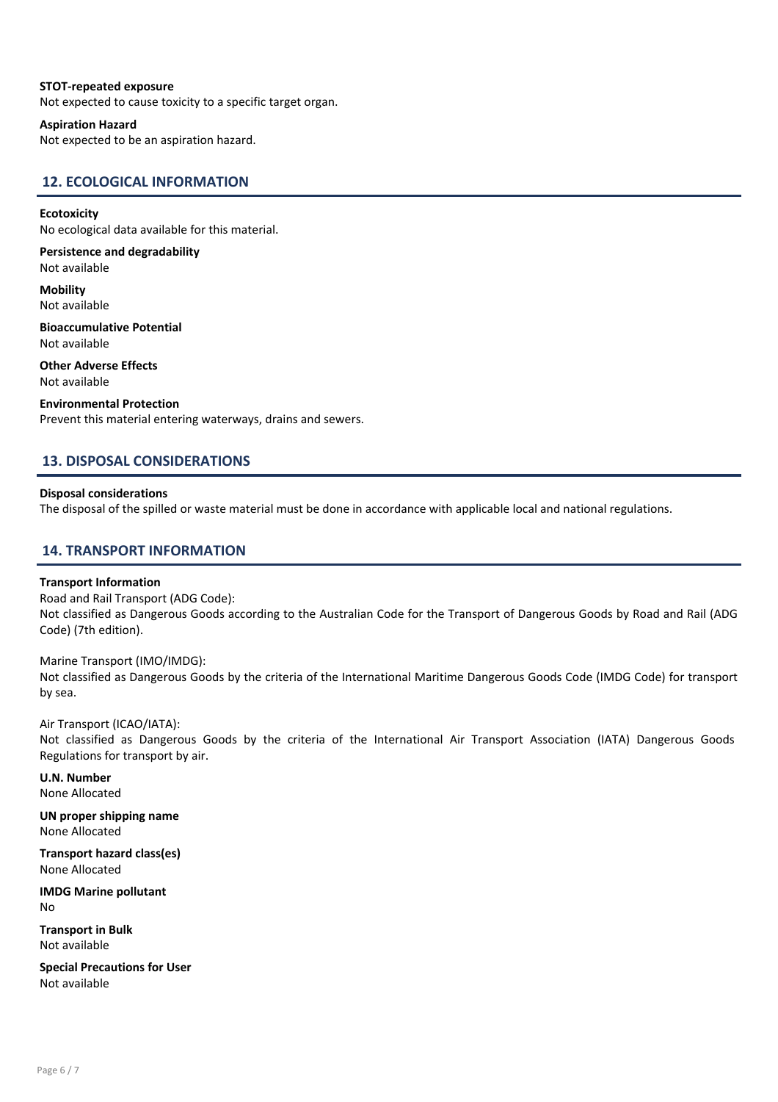# STOT-repeated exposure

Not expected to cause toxicity to a specific target organ.

#### Aspiration Hazard

Not expected to be an aspiration hazard.

# 12. ECOLOGICAL INFORMATION

#### **Ecotoxicity**

No ecological data available for this material.

Persistence and degradability Not available

**Mobility** Not available

Bioaccumulative Potential Not available

Other Adverse Effects Not available

Environmental Protection Prevent this material entering waterways, drains and sewers.

# 13. DISPOSAL CONSIDERATIONS

# Disposal considerations

The disposal of the spilled or waste material must be done in accordance with applicable local and national regulations.

# 14. TRANSPORT INFORMATION

#### Transport Information

Road and Rail Transport (ADG Code): Not classified as Dangerous Goods according to the Australian Code for the Transport of Dangerous Goods by Road and Rail (ADG Code) (7th edition).

Marine Transport (IMO/IMDG): Not classified as Dangerous Goods by the criteria of the International Maritime Dangerous Goods Code (IMDG Code) for transport by sea.

Air Transport (ICAO/IATA): Not classified as Dangerous Goods by the criteria of the International Air Transport Association (IATA) Dangerous Goods Regulations for transport by air.

U.N. Number None Allocated

UN proper shipping name None Allocated

Transport hazard class(es) None Allocated

IMDG Marine pollutant No

Transport in Bulk Not available

Special Precautions for User Not available